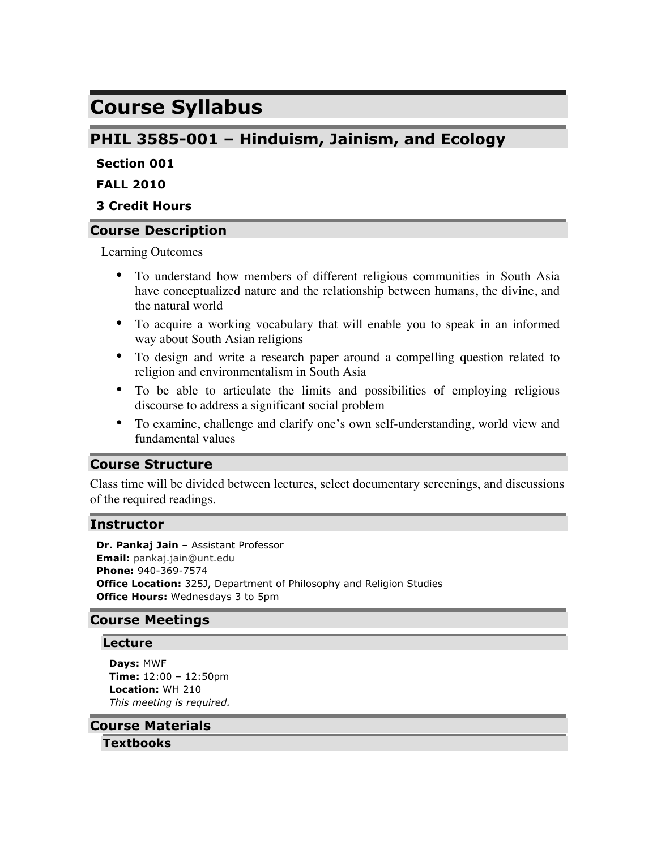# **Course Syllabus**

## **PHIL 3585-001 – Hinduism, Jainism, and Ecology**

## **Section 001**

## **FALL 2010**

## **3 Credit Hours**

## **Course Description**

Learning Outcomes

- To understand how members of different religious communities in South Asia have conceptualized nature and the relationship between humans, the divine, and the natural world
- To acquire a working vocabulary that will enable you to speak in an informed way about South Asian religions
- To design and write a research paper around a compelling question related to religion and environmentalism in South Asia
- To be able to articulate the limits and possibilities of employing religious discourse to address a significant social problem
- To examine, challenge and clarify one's own self-understanding, world view and fundamental values

## **Course Structure**

Class time will be divided between lectures, select documentary screenings, and discussions of the required readings.

### **Instructor**

**Dr. Pankaj Jain** – Assistant Professor **Email:** pankaj.jain@unt.edu **Phone:** 940-369-7574 **Office Location:** 325J, Department of Philosophy and Religion Studies **Office Hours:** Wednesdays 3 to 5pm

## **Course Meetings**

### **Lecture**

**Days:** MWF **Time:** 12:00 – 12:50pm **Location:** WH 210 *This meeting is required.*

#### **Course Materials**

**Textbooks**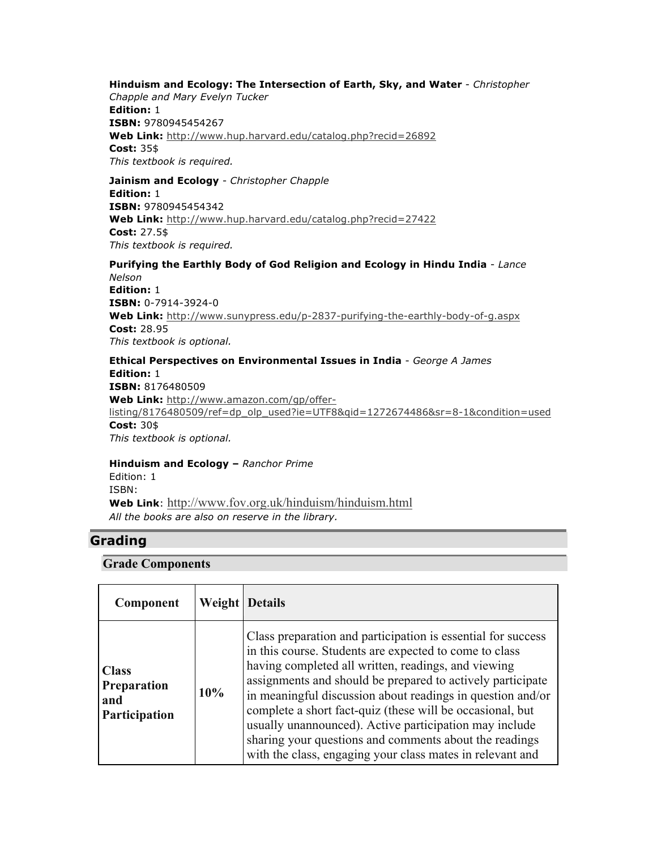#### **Hinduism and Ecology: The Intersection of Earth, Sky, and Water** - *Christopher*

*Chapple and Mary Evelyn Tucker* **Edition:** 1 **ISBN:** 9780945454267 **Web Link:** http://www.hup.harvard.edu/catalog.php?recid=26892 **Cost:** 35\$ *This textbook is required.*

**Jainism and Ecology** - *Christopher Chapple* **Edition:** 1 **ISBN:** 9780945454342 **Web Link:** http://www.hup.harvard.edu/catalog.php?recid=27422 **Cost:** 27.5\$ *This textbook is required.*

**Purifying the Earthly Body of God Religion and Ecology in Hindu India** - *Lance Nelson* **Edition:** 1 **ISBN:** 0-7914-3924-0 **Web Link:** http://www.sunypress.edu/p-2837-purifying-the-earthly-body-of-g.aspx **Cost:** 28.95 *This textbook is optional.*

**Ethical Perspectives on Environmental Issues in India** - *George A James* **Edition:** 1 **ISBN:** 8176480509 **Web Link:** http://www.amazon.com/gp/offerlisting/8176480509/ref=dp\_olp\_used?ie=UTF8&qid=1272674486&sr=8-1&condition=used **Cost:** 30\$ *This textbook is optional.*

**Hinduism and Ecology –** *Ranchor Prime* Edition: 1 ISBN: **Web Link**: http://www.fov.org.uk/hinduism/hinduism.html *All the books are also on reserve in the library.*

## **Grading**

#### **Grade Components**

| Component                                           |     | <b>Weight</b> Details                                                                                                                                                                                                                                                                                                                                                                                                                                                                                                                                   |
|-----------------------------------------------------|-----|---------------------------------------------------------------------------------------------------------------------------------------------------------------------------------------------------------------------------------------------------------------------------------------------------------------------------------------------------------------------------------------------------------------------------------------------------------------------------------------------------------------------------------------------------------|
| <b>Class</b><br>Preparation<br>and<br>Participation | 10% | Class preparation and participation is essential for success<br>in this course. Students are expected to come to class<br>having completed all written, readings, and viewing<br>assignments and should be prepared to actively participate<br>in meaningful discussion about readings in question and/or<br>complete a short fact-quiz (these will be occasional, but<br>usually unannounced). Active participation may include<br>sharing your questions and comments about the readings<br>with the class, engaging your class mates in relevant and |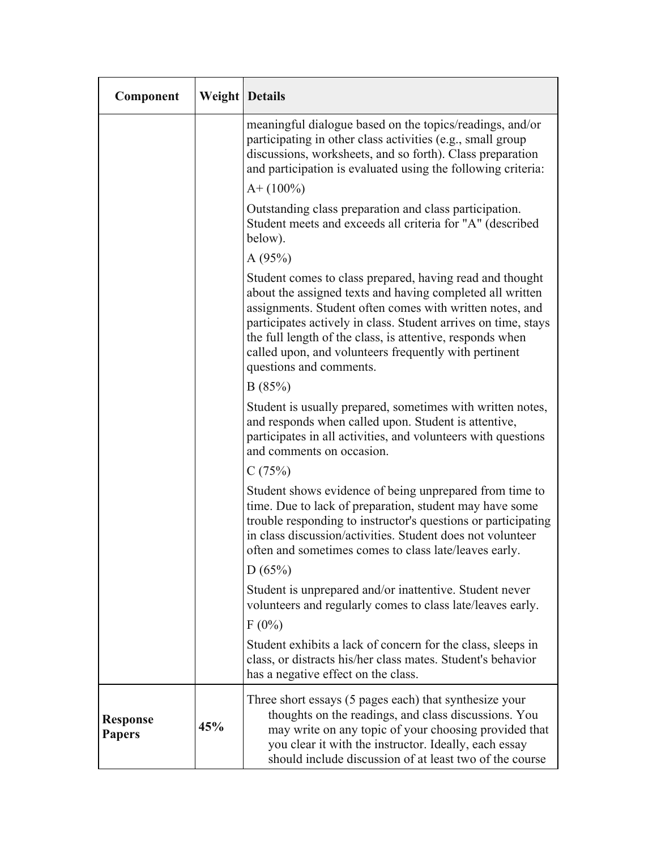| Component                        |     | <b>Weight Details</b>                                                                                                                                                                                                                                                                                                                                                                                |  |  |  |
|----------------------------------|-----|------------------------------------------------------------------------------------------------------------------------------------------------------------------------------------------------------------------------------------------------------------------------------------------------------------------------------------------------------------------------------------------------------|--|--|--|
|                                  |     | meaningful dialogue based on the topics/readings, and/or<br>participating in other class activities (e.g., small group<br>discussions, worksheets, and so forth). Class preparation<br>and participation is evaluated using the following criteria:                                                                                                                                                  |  |  |  |
|                                  |     | $A+ (100\%)$                                                                                                                                                                                                                                                                                                                                                                                         |  |  |  |
|                                  |     | Outstanding class preparation and class participation.<br>Student meets and exceeds all criteria for "A" (described<br>below).                                                                                                                                                                                                                                                                       |  |  |  |
|                                  |     | A(95%)                                                                                                                                                                                                                                                                                                                                                                                               |  |  |  |
|                                  |     | Student comes to class prepared, having read and thought<br>about the assigned texts and having completed all written<br>assignments. Student often comes with written notes, and<br>participates actively in class. Student arrives on time, stays<br>the full length of the class, is attentive, responds when<br>called upon, and volunteers frequently with pertinent<br>questions and comments. |  |  |  |
|                                  |     | B(85%)                                                                                                                                                                                                                                                                                                                                                                                               |  |  |  |
|                                  |     | Student is usually prepared, sometimes with written notes,<br>and responds when called upon. Student is attentive,<br>participates in all activities, and volunteers with questions<br>and comments on occasion.                                                                                                                                                                                     |  |  |  |
|                                  |     | C(75%)                                                                                                                                                                                                                                                                                                                                                                                               |  |  |  |
|                                  |     | Student shows evidence of being unprepared from time to<br>time. Due to lack of preparation, student may have some<br>trouble responding to instructor's questions or participating<br>in class discussion/activities. Student does not volunteer<br>often and sometimes comes to class late/leaves early.                                                                                           |  |  |  |
|                                  |     | D(65%)                                                                                                                                                                                                                                                                                                                                                                                               |  |  |  |
|                                  |     | Student is unprepared and/or inattentive. Student never<br>volunteers and regularly comes to class late/leaves early.                                                                                                                                                                                                                                                                                |  |  |  |
|                                  |     | $F(0\%)$                                                                                                                                                                                                                                                                                                                                                                                             |  |  |  |
|                                  |     | Student exhibits a lack of concern for the class, sleeps in<br>class, or distracts his/her class mates. Student's behavior<br>has a negative effect on the class.                                                                                                                                                                                                                                    |  |  |  |
| <b>Response</b><br><b>Papers</b> | 45% | Three short essays (5 pages each) that synthesize your<br>thoughts on the readings, and class discussions. You<br>may write on any topic of your choosing provided that<br>you clear it with the instructor. Ideally, each essay<br>should include discussion of at least two of the course                                                                                                          |  |  |  |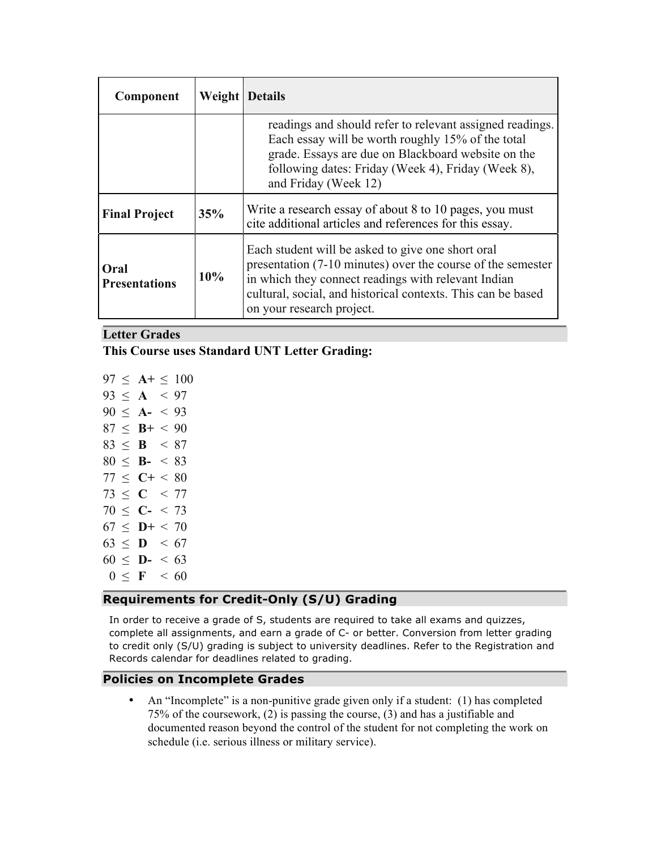| Component                    | <b>Weight Details</b> |                                                                                                                                                                                                                                                                      |  |
|------------------------------|-----------------------|----------------------------------------------------------------------------------------------------------------------------------------------------------------------------------------------------------------------------------------------------------------------|--|
|                              |                       | readings and should refer to relevant assigned readings.<br>Each essay will be worth roughly 15% of the total<br>grade. Essays are due on Blackboard website on the<br>following dates: Friday (Week 4), Friday (Week 8),<br>and Friday (Week 12)                    |  |
| <b>Final Project</b>         | 35%                   | Write a research essay of about 8 to 10 pages, you must<br>cite additional articles and references for this essay.                                                                                                                                                   |  |
| Oral<br><b>Presentations</b> | 10%                   | Each student will be asked to give one short oral<br>presentation (7-10 minutes) over the course of the semester<br>in which they connect readings with relevant Indian<br>cultural, social, and historical contexts. This can be based<br>on your research project. |  |

## **Letter Grades**

## **This Course uses Standard UNT Letter Grading:**

| 97 | $\leq$ | $A^+ \leq$     |       | 100  |
|----|--------|----------------|-------|------|
| 93 | $\leq$ | $\mathbf{A}$   | $\lt$ | 97   |
| 90 | $\leq$ | $A-$           | $\,<$ | 93   |
| 87 | $\leq$ | $B+$           | $\,<$ | 90   |
| 83 | $\leq$ | $\bf{B}$       | $\,<$ | 87   |
| 80 | $<\,$  | $\mathbf{B}$ - | $\lt$ | 83   |
| 77 | $\leq$ | $C+$           | $\lt$ | 80   |
| 73 | $\leq$ | C <            |       | 77   |
| 70 | $\leq$ | $\mathbf{C}$ - |       | < 73 |
| 67 | $\lt$  | $D+$           | $\lt$ | 70   |
| 63 | $\leq$ | D              | <     | 67   |
| 60 | $\,<$  | $\mathbf{D}$ - | $\,<$ | 63   |
| 0  | <      | $\mathbf{F}$   | $\,<$ | 60   |

## **Requirements for Credit-Only (S/U) Grading**

In order to receive a grade of S, students are required to take all exams and quizzes, complete all assignments, and earn a grade of C- or better. Conversion from letter grading to credit only (S/U) grading is subject to university deadlines. Refer to the Registration and Records calendar for deadlines related to grading.

#### **Policies on Incomplete Grades**

• An "Incomplete" is a non-punitive grade given only if a student: (1) has completed 75% of the coursework, (2) is passing the course, (3) and has a justifiable and documented reason beyond the control of the student for not completing the work on schedule (i.e. serious illness or military service).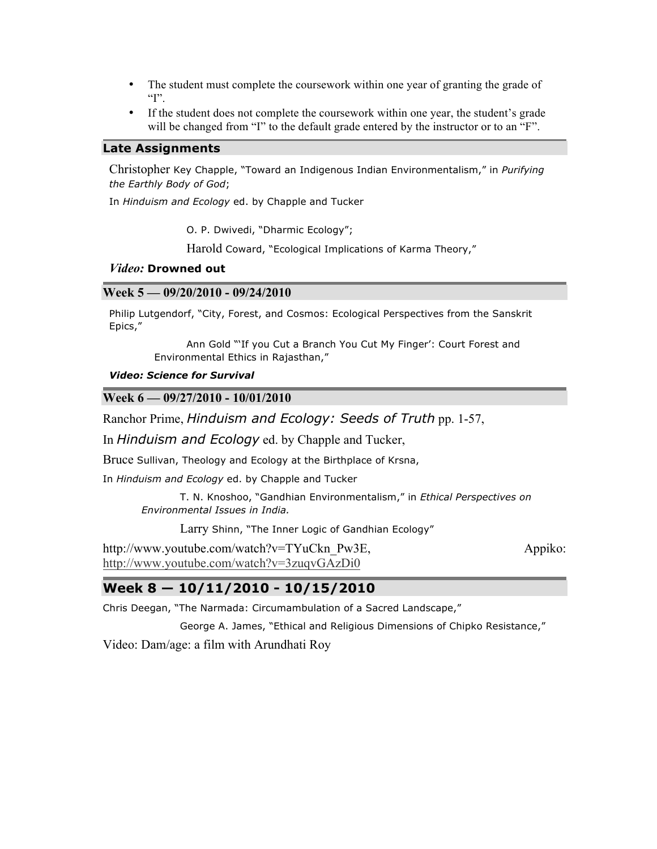- The student must complete the coursework within one year of granting the grade of  $T$ .
- If the student does not complete the coursework within one year, the student's grade will be changed from "I" to the default grade entered by the instructor or to an "F".

#### **Late Assignments**

Christopher Key Chapple, "Toward an Indigenous Indian Environmentalism," in *Purifying the Earthly Body of God*;

In *Hinduism and Ecology* ed. by Chapple and Tucker

O. P. Dwivedi, "Dharmic Ecology";

Harold Coward, "Ecological Implications of Karma Theory,"

#### *Video:* **Drowned out**

#### **Week 5 — 09/20/2010 - 09/24/2010**

Philip Lutgendorf, "City, Forest, and Cosmos: Ecological Perspectives from the Sanskrit Epics,"

> Ann Gold "'If you Cut a Branch You Cut My Finger': Court Forest and Environmental Ethics in Rajasthan,"

#### *Video: Science for Survival*

#### **Week 6 — 09/27/2010 - 10/01/2010**

Ranchor Prime, *Hinduism and Ecology: Seeds of Truth* pp. 1-57,

In *Hinduism and Ecology* ed. by Chapple and Tucker,

Bruce Sullivan, Theology and Ecology at the Birthplace of Krsna,

In *Hinduism and Ecology* ed. by Chapple and Tucker

T. N. Knoshoo, "Gandhian Environmentalism," in *Ethical Perspectives on Environmental Issues in India.*

Larry Shinn, "The Inner Logic of Gandhian Ecology"

http://www.youtube.com/watch?v=TYuCkn\_Pw3E, Appiko: http://www.youtube.com/watch?v=3zuqvGAzDi0

## **Week 8 — 10/11/2010 - 10/15/2010**

Chris Deegan, "The Narmada: Circumambulation of a Sacred Landscape,"

George A. James, "Ethical and Religious Dimensions of Chipko Resistance,"

Video: Dam/age: a film with Arundhati Roy